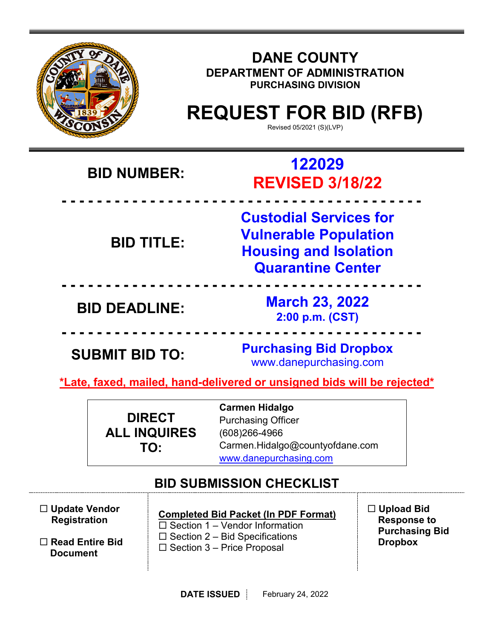|                                                                                          |                                  |                                                                                                                                                                                                       | <b>DANE COUNTY</b><br>DEPARTMENT OF ADMINISTRATION<br><b>PURCHASING DIVISION</b><br><b>REQUEST FOR BID (RFB)</b><br>Revised 05/2021 (S)(LVP) |  |  |
|------------------------------------------------------------------------------------------|----------------------------------|-------------------------------------------------------------------------------------------------------------------------------------------------------------------------------------------------------|----------------------------------------------------------------------------------------------------------------------------------------------|--|--|
| <b>BID NUMBER:</b>                                                                       |                                  |                                                                                                                                                                                                       | 122029<br><b>REVISED 3/18/22</b>                                                                                                             |  |  |
| <b>BID TITLE:</b>                                                                        |                                  |                                                                                                                                                                                                       | <b>Custodial Services for</b><br><b>Vulnerable Population</b><br><b>Housing and Isolation</b><br><b>Quarantine Center</b>                    |  |  |
| <b>BID DEADLINE:</b>                                                                     |                                  |                                                                                                                                                                                                       | <b>March 23, 2022</b><br>2:00 p.m. (CST)                                                                                                     |  |  |
| <b>SUBMIT BID TO:</b>                                                                    |                                  | <b>Purchasing Bid Dropbox</b><br>www.danepurchasing.com                                                                                                                                               |                                                                                                                                              |  |  |
|                                                                                          |                                  |                                                                                                                                                                                                       | *Late, faxed, mailed, hand-delivered or unsigned bids will be rejected*                                                                      |  |  |
| <b>DIRECT</b><br><b>ALL INQUIRES</b><br>TO:                                              |                                  |                                                                                                                                                                                                       | <b>Carmen Hidalgo</b><br><b>Purchasing Officer</b><br>(608) 266-4966<br>Carmen.Hidalgo@countyofdane.com<br>www.danepurchasing.com            |  |  |
| $\Box$ Update Vendor<br><b>Registration</b><br>$\Box$ Read Entire Bid<br><b>Document</b> |                                  | <b>BID SUBMISSION CHECKLIST</b><br><b>Completed Bid Packet (In PDF Format)</b><br>$\Box$ Section 1 – Vendor Information<br>$\Box$ Section 2 – Bid Specifications<br>$\Box$ Section 3 – Price Proposal | $\Box$ Upload Bid<br><b>Response to</b><br><b>Purchasing Bid</b><br><b>Dropbox</b>                                                           |  |  |
|                                                                                          | DATE ISSUED<br>February 24, 2022 |                                                                                                                                                                                                       |                                                                                                                                              |  |  |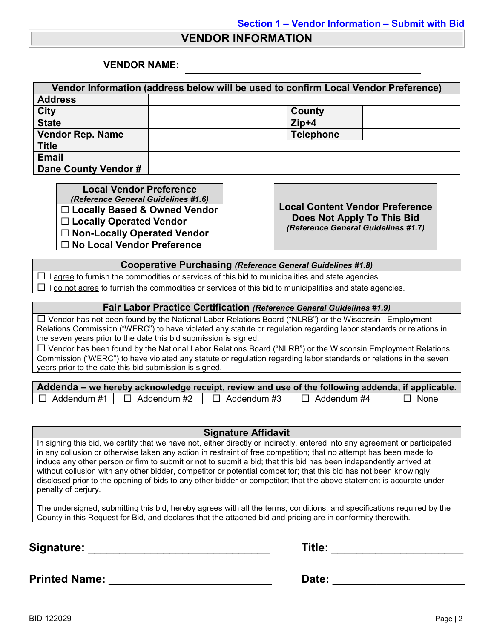## **VENDOR INFORMATION**

### **VENDOR NAME:**

| Vendor Information (address below will be used to confirm Local Vendor Preference) |                  |  |  |  |
|------------------------------------------------------------------------------------|------------------|--|--|--|
| <b>Address</b>                                                                     |                  |  |  |  |
| <b>City</b>                                                                        | County           |  |  |  |
| <b>State</b>                                                                       | $Zip+4$          |  |  |  |
| <b>Vendor Rep. Name</b>                                                            | <b>Telephone</b> |  |  |  |
| <b>Title</b>                                                                       |                  |  |  |  |
| <b>Email</b>                                                                       |                  |  |  |  |
| Dane County Vendor #                                                               |                  |  |  |  |

**Local Vendor Preference**<br>(*Reference General Guidelines #1.6*) **Locally Based & Owned Vendor Locally Operated Vendor Non-Locally Operated Vendor No Local Vendor Preference**

*(Reference General Guidelines #1.6)* **Local Content Vendor Preference Does Not Apply To This Bid** *(Reference General Guidelines #1.7)*

**Cooperative Purchasing** *(Reference General Guidelines #1.8)*

 $\Box$  I agree to furnish the commodities or services of this bid to municipalities and state agencies.

 $\Box$  I do not agree to furnish the commodities or services of this bid to municipalities and state agencies.

#### **Fair Labor Practice Certification** *(Reference General Guidelines #1.9)*

 Vendor has not been found by the National Labor Relations Board ("NLRB") or the Wisconsin Employment Relations Commission ("WERC") to have violated any statute or regulation regarding labor standards or relations in the seven years prior to the date this bid submission is signed.

 Vendor has been found by the National Labor Relations Board ("NLRB") or the Wisconsin Employment Relations Commission ("WERC") to have violated any statute or regulation regarding labor standards or relations in the seven years prior to the date this bid submission is signed.

| Addenda – we hereby acknowledge receipt, review and use of the following addenda, if applicable. |                                       |                    |                    |             |  |  |  |
|--------------------------------------------------------------------------------------------------|---------------------------------------|--------------------|--------------------|-------------|--|--|--|
|                                                                                                  | $\Box$ Addendum #1 $\Box$ Addendum #2 | $\Box$ Addendum #3 | $\Box$ Addendum #4 | $\Box$ None |  |  |  |

### **Signature Affidavit**

In signing this bid, we certify that we have not, either directly or indirectly, entered into any agreement or participated in any collusion or otherwise taken any action in restraint of free competition; that no attempt has been made to induce any other person or firm to submit or not to submit a bid; that this bid has been independently arrived at without collusion with any other bidder, competitor or potential competitor; that this bid has not been knowingly disclosed prior to the opening of bids to any other bidder or competitor; that the above statement is accurate under penalty of perjury.

The undersigned, submitting this bid, hereby agrees with all the terms, conditions, and specifications required by the County in this Request for Bid, and declares that the attached bid and pricing are in conformity therewith.

**Signature:** \_\_\_\_\_\_\_\_\_\_\_\_\_\_\_\_\_\_\_\_\_\_\_\_\_\_\_\_\_ **Title:** \_\_\_\_\_\_\_\_\_\_\_\_\_\_\_\_\_\_\_\_\_

| Title: |  |
|--------|--|
|        |  |

**Printed Name:** \_\_\_\_\_\_\_\_\_\_\_\_\_\_\_\_\_\_\_\_\_\_\_\_\_\_ **Date:** \_\_\_\_\_\_\_\_\_\_\_\_\_\_\_\_\_\_\_\_\_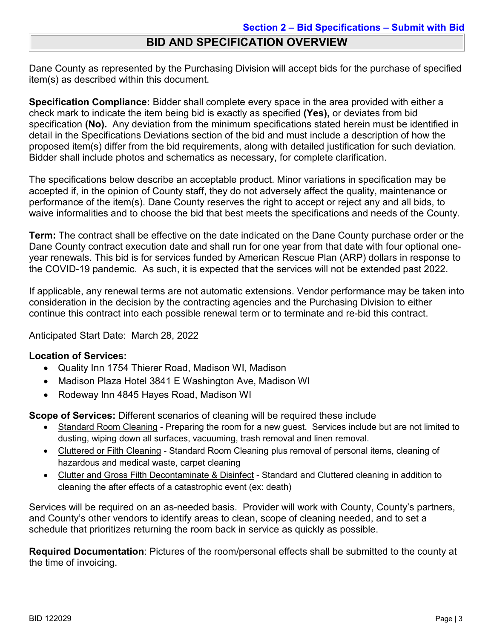# **BID AND SPECIFICATION OVERVIEW**

Dane County as represented by the Purchasing Division will accept bids for the purchase of specified item(s) as described within this document.

**Specification Compliance:** Bidder shall complete every space in the area provided with either a check mark to indicate the item being bid is exactly as specified **(Yes),** or deviates from bid specification **(No).** Any deviation from the minimum specifications stated herein must be identified in detail in the Specifications Deviations section of the bid and must include a description of how the proposed item(s) differ from the bid requirements, along with detailed justification for such deviation. Bidder shall include photos and schematics as necessary, for complete clarification.

The specifications below describe an acceptable product. Minor variations in specification may be accepted if, in the opinion of County staff, they do not adversely affect the quality, maintenance or performance of the item(s). Dane County reserves the right to accept or reject any and all bids, to waive informalities and to choose the bid that best meets the specifications and needs of the County.

**Term:** The contract shall be effective on the date indicated on the Dane County purchase order or the Dane County contract execution date and shall run for one year from that date with four optional oneyear renewals. This bid is for services funded by American Rescue Plan (ARP) dollars in response to the COVID-19 pandemic. As such, it is expected that the services will not be extended past 2022.

If applicable, any renewal terms are not automatic extensions. Vendor performance may be taken into consideration in the decision by the contracting agencies and the Purchasing Division to either continue this contract into each possible renewal term or to terminate and re-bid this contract.

Anticipated Start Date: March 28, 2022

## **Location of Services:**

- Quality Inn 1754 Thierer Road, Madison WI, Madison
- Madison Plaza Hotel 3841 E Washington Ave, Madison WI
- Rodeway Inn 4845 Hayes Road, Madison WI

**Scope of Services:** Different scenarios of cleaning will be required these include

- Standard Room Cleaning Preparing the room for a new guest. Services include but are not limited to dusting, wiping down all surfaces, vacuuming, trash removal and linen removal.
- Cluttered or Filth Cleaning Standard Room Cleaning plus removal of personal items, cleaning of hazardous and medical waste, carpet cleaning
- Clutter and Gross Filth Decontaminate & Disinfect Standard and Cluttered cleaning in addition to cleaning the after effects of a catastrophic event (ex: death)

Services will be required on an as-needed basis. Provider will work with County, County's partners, and County's other vendors to identify areas to clean, scope of cleaning needed, and to set a schedule that prioritizes returning the room back in service as quickly as possible.

**Required Documentation**: Pictures of the room/personal effects shall be submitted to the county at the time of invoicing.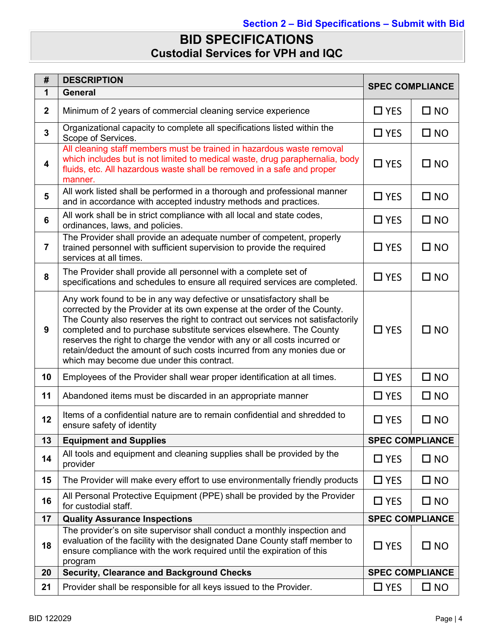# **BID SPECIFICATIONS Custodial Services for VPH and IQC**

| #              | <b>DESCRIPTION</b>                                                                                                                                                                                                                                                                                                                                                                                                                                                                                            | <b>SPEC COMPLIANCE</b> |              |
|----------------|---------------------------------------------------------------------------------------------------------------------------------------------------------------------------------------------------------------------------------------------------------------------------------------------------------------------------------------------------------------------------------------------------------------------------------------------------------------------------------------------------------------|------------------------|--------------|
| 1              | <b>General</b>                                                                                                                                                                                                                                                                                                                                                                                                                                                                                                |                        |              |
| $\mathbf 2$    | Minimum of 2 years of commercial cleaning service experience                                                                                                                                                                                                                                                                                                                                                                                                                                                  | $\Box$ YES             | $\square$ NO |
| 3              | Organizational capacity to complete all specifications listed within the<br>Scope of Services.                                                                                                                                                                                                                                                                                                                                                                                                                | $\Box$ YES             | $\square$ NO |
| 4              | All cleaning staff members must be trained in hazardous waste removal<br>which includes but is not limited to medical waste, drug paraphernalia, body<br>fluids, etc. All hazardous waste shall be removed in a safe and proper<br>manner.                                                                                                                                                                                                                                                                    | $\Box$ YES             | $\square$ NO |
| 5              | All work listed shall be performed in a thorough and professional manner<br>and in accordance with accepted industry methods and practices.                                                                                                                                                                                                                                                                                                                                                                   | $\Box$ YES             | $\square$ NO |
| 6              | All work shall be in strict compliance with all local and state codes,<br>ordinances, laws, and policies.                                                                                                                                                                                                                                                                                                                                                                                                     | $\Box$ YES             | $\square$ NO |
| $\overline{7}$ | The Provider shall provide an adequate number of competent, properly<br>trained personnel with sufficient supervision to provide the required<br>services at all times.                                                                                                                                                                                                                                                                                                                                       | $\Box$ YES             | $\square$ NO |
| 8              | The Provider shall provide all personnel with a complete set of<br>specifications and schedules to ensure all required services are completed.                                                                                                                                                                                                                                                                                                                                                                | $\square$ YES          | $\square$ NO |
| 9              | Any work found to be in any way defective or unsatisfactory shall be<br>corrected by the Provider at its own expense at the order of the County.<br>The County also reserves the right to contract out services not satisfactorily<br>completed and to purchase substitute services elsewhere. The County<br>reserves the right to charge the vendor with any or all costs incurred or<br>retain/deduct the amount of such costs incurred from any monies due or<br>which may become due under this contract. | $\Box$ YES             | $\square$ NO |
| 10             | Employees of the Provider shall wear proper identification at all times.                                                                                                                                                                                                                                                                                                                                                                                                                                      | $\Box$ YES             | $\square$ NO |
| 11             | Abandoned items must be discarded in an appropriate manner                                                                                                                                                                                                                                                                                                                                                                                                                                                    | $\Box$ YES             | $\square$ NO |
| 12             | Items of a confidential nature are to remain confidential and shredded to<br>ensure safety of identity                                                                                                                                                                                                                                                                                                                                                                                                        | $\Box$ YES             | $\square$ NO |
| 13             | <b>Equipment and Supplies</b>                                                                                                                                                                                                                                                                                                                                                                                                                                                                                 | <b>SPEC COMPLIANCE</b> |              |
| 14             | All tools and equipment and cleaning supplies shall be provided by the<br>provider                                                                                                                                                                                                                                                                                                                                                                                                                            | $\Box$ YES             | $\square$ NO |
| 15             | The Provider will make every effort to use environmentally friendly products                                                                                                                                                                                                                                                                                                                                                                                                                                  | $\Box$ YES             | $\square$ NO |
| 16             | All Personal Protective Equipment (PPE) shall be provided by the Provider<br>for custodial staff.                                                                                                                                                                                                                                                                                                                                                                                                             | $\Box$ YES             | $\square$ NO |
| 17             | <b>Quality Assurance Inspections</b>                                                                                                                                                                                                                                                                                                                                                                                                                                                                          | <b>SPEC COMPLIANCE</b> |              |
| 18             | The provider's on site supervisor shall conduct a monthly inspection and<br>evaluation of the facility with the designated Dane County staff member to<br>ensure compliance with the work required until the expiration of this<br>program                                                                                                                                                                                                                                                                    | $\Box$ YES             | $\square$ NO |
| 20             | <b>SPEC COMPLIANCE</b><br><b>Security, Clearance and Background Checks</b>                                                                                                                                                                                                                                                                                                                                                                                                                                    |                        |              |
| 21             | Provider shall be responsible for all keys issued to the Provider.                                                                                                                                                                                                                                                                                                                                                                                                                                            | $\Box$ YES             | $\square$ NO |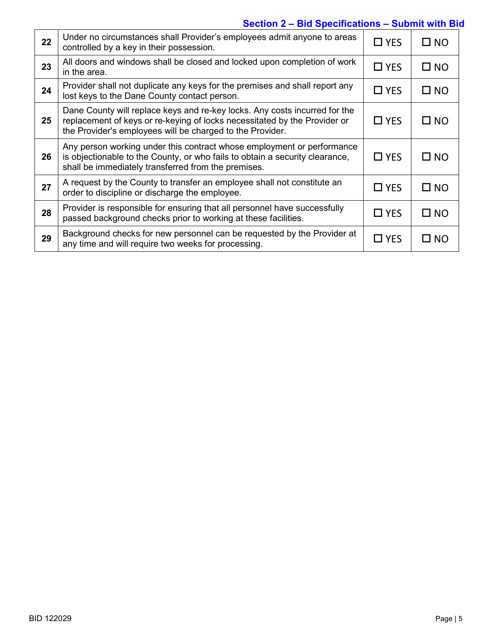## **Section 2 – Bid Specifications – Submit with Bid**

| 22 | Under no circumstances shall Provider's employees admit anyone to areas<br>controlled by a key in their possession.                                                                                                  | $\Box$ YES | $\square$ NO |
|----|----------------------------------------------------------------------------------------------------------------------------------------------------------------------------------------------------------------------|------------|--------------|
| 23 | All doors and windows shall be closed and locked upon completion of work<br>in the area.                                                                                                                             | $\Box$ YES | $\square$ NO |
| 24 | Provider shall not duplicate any keys for the premises and shall report any<br>lost keys to the Dane County contact person.                                                                                          | $\Box$ YES | $\square$ NO |
| 25 | Dane County will replace keys and re-key locks. Any costs incurred for the<br>replacement of keys or re-keying of locks necessitated by the Provider or<br>the Provider's employees will be charged to the Provider. | $\Box$ YES | $\square$ NO |
| 26 | Any person working under this contract whose employment or performance<br>is objectionable to the County, or who fails to obtain a security clearance,<br>shall be immediately transferred from the premises.        | $\Box$ YES | $\square$ NO |
| 27 | A request by the County to transfer an employee shall not constitute an<br>order to discipline or discharge the employee.                                                                                            | $\Box$ YES | $\square$ NO |
| 28 | Provider is responsible for ensuring that all personnel have successfully<br>passed background checks prior to working at these facilities.                                                                          | $\Box$ YES | $\square$ NO |
| 29 | Background checks for new personnel can be requested by the Provider at<br>any time and will require two weeks for processing.                                                                                       | $\Box$ YES | $\square$ NO |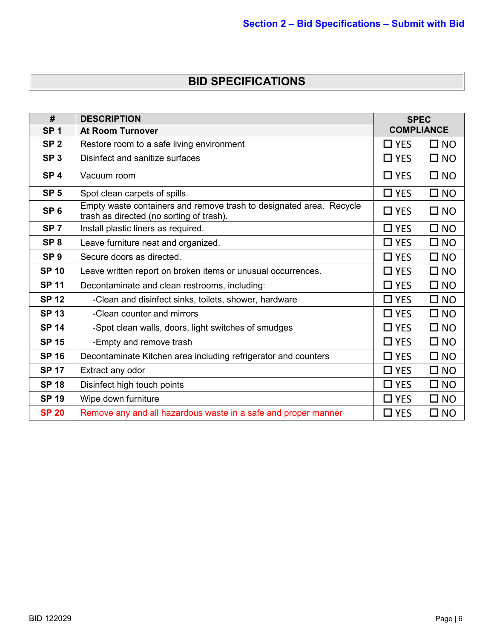# **BID SPECIFICATIONS**

| #               | <b>DESCRIPTION</b>                                                                                              |            | <b>SPEC</b>       |  |
|-----------------|-----------------------------------------------------------------------------------------------------------------|------------|-------------------|--|
| SP <sub>1</sub> | <b>At Room Turnover</b>                                                                                         |            | <b>COMPLIANCE</b> |  |
| SP <sub>2</sub> | Restore room to a safe living environment                                                                       |            | $\square$ NO      |  |
| SP <sub>3</sub> | Disinfect and sanitize surfaces                                                                                 | $\Box$ YES | $\square$ NO      |  |
| SP <sub>4</sub> | Vacuum room                                                                                                     | $\Box$ YES | $\square$ NO      |  |
| SP <sub>5</sub> | Spot clean carpets of spills.                                                                                   | $\Box$ YES | $\square$ NO      |  |
| SP <sub>6</sub> | Empty waste containers and remove trash to designated area. Recycle<br>trash as directed (no sorting of trash). | $\Box$ YES | $\square$ NO      |  |
| SP <sub>7</sub> | Install plastic liners as required.                                                                             | $\Box$ YES | $\square$ NO      |  |
| SP <sub>8</sub> | Leave furniture neat and organized.                                                                             | $\Box$ YES | $\square$ NO      |  |
| SP <sub>9</sub> | Secure doors as directed.                                                                                       | $\Box$ YES | $\square$ NO      |  |
| <b>SP 10</b>    | Leave written report on broken items or unusual occurrences.                                                    | $\Box$ YES | $\square$ NO      |  |
| <b>SP 11</b>    | Decontaminate and clean restrooms, including:                                                                   | $\Box$ YES | $\square$ NO      |  |
| <b>SP 12</b>    | -Clean and disinfect sinks, toilets, shower, hardware                                                           | $\Box$ YES | $\square$ NO      |  |
| <b>SP 13</b>    | -Clean counter and mirrors                                                                                      | $\Box$ YES | $\square$ NO      |  |
| <b>SP 14</b>    | -Spot clean walls, doors, light switches of smudges                                                             | $\Box$ YES | $\square$ NO      |  |
| <b>SP 15</b>    | -Empty and remove trash                                                                                         | $\Box$ YES | $\square$ NO      |  |
| <b>SP 16</b>    | Decontaminate Kitchen area including refrigerator and counters                                                  | $\Box$ YES | $\square$ NO      |  |
| <b>SP 17</b>    | Extract any odor                                                                                                | $\Box$ YES | $\square$ NO      |  |
| <b>SP 18</b>    | Disinfect high touch points                                                                                     | $\Box$ YES | $\square$ NO      |  |
| <b>SP 19</b>    | Wipe down furniture                                                                                             | $\Box$ YES | $\square$ NO      |  |
| <b>SP 20</b>    | Remove any and all hazardous waste in a safe and proper manner                                                  |            | $\square$ NO      |  |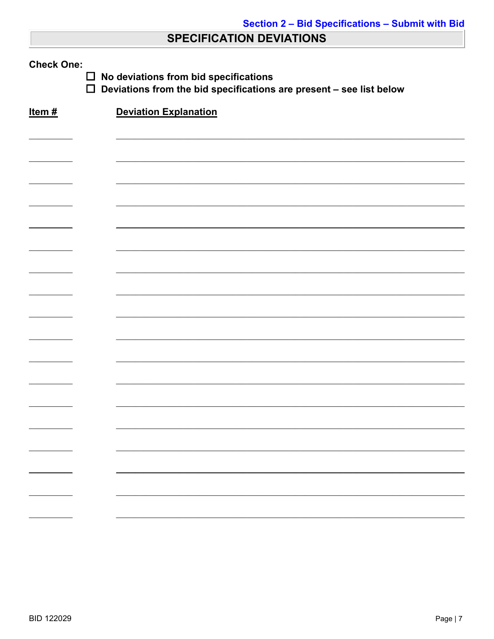# **SPECIFICATION DEVIATIONS**

| <b>Check One:</b><br>No deviations from bid specifications<br>$\Box$<br>$\Box$<br>Deviations from the bid specifications are present - see list below |  |                              |  |  |  |
|-------------------------------------------------------------------------------------------------------------------------------------------------------|--|------------------------------|--|--|--|
| Item $#$                                                                                                                                              |  | <b>Deviation Explanation</b> |  |  |  |
|                                                                                                                                                       |  |                              |  |  |  |
|                                                                                                                                                       |  |                              |  |  |  |
|                                                                                                                                                       |  |                              |  |  |  |
|                                                                                                                                                       |  |                              |  |  |  |
|                                                                                                                                                       |  |                              |  |  |  |
|                                                                                                                                                       |  |                              |  |  |  |
|                                                                                                                                                       |  |                              |  |  |  |
|                                                                                                                                                       |  |                              |  |  |  |
|                                                                                                                                                       |  |                              |  |  |  |
|                                                                                                                                                       |  |                              |  |  |  |
|                                                                                                                                                       |  |                              |  |  |  |
|                                                                                                                                                       |  |                              |  |  |  |
|                                                                                                                                                       |  |                              |  |  |  |
|                                                                                                                                                       |  |                              |  |  |  |
|                                                                                                                                                       |  |                              |  |  |  |
|                                                                                                                                                       |  |                              |  |  |  |